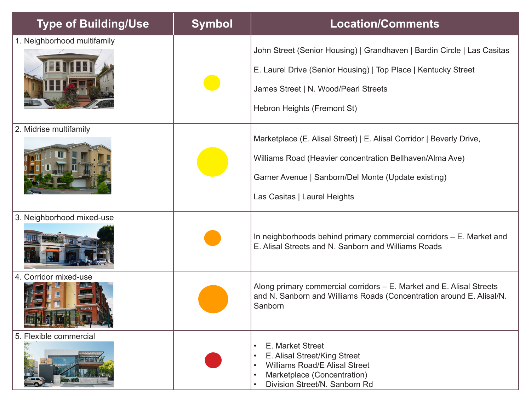| <b>Type of Building/Use</b> | <b>Symbol</b> | <b>Location/Comments</b>                                                                                                                                                                                                |
|-----------------------------|---------------|-------------------------------------------------------------------------------------------------------------------------------------------------------------------------------------------------------------------------|
| 1. Neighborhood multifamily |               | John Street (Senior Housing)   Grandhaven   Bardin Circle   Las Casitas<br>E. Laurel Drive (Senior Housing)   Top Place   Kentucky Street<br>James Street   N. Wood/Pearl Streets<br>Hebron Heights (Fremont St)        |
| 2. Midrise multifamily      |               | Marketplace (E. Alisal Street)   E. Alisal Corridor   Beverly Drive,<br>Williams Road (Heavier concentration Bellhaven/Alma Ave)<br>Garner Avenue   Sanborn/Del Monte (Update existing)<br>Las Casitas   Laurel Heights |
| 3. Neighborhood mixed-use   |               | In neighborhoods behind primary commercial corridors – E. Market and<br>E. Alisal Streets and N. Sanborn and Williams Roads                                                                                             |
| 4. Corridor mixed-use       |               | Along primary commercial corridors – E. Market and E. Alisal Streets<br>and N. Sanborn and Williams Roads (Concentration around E. Alisal/N.<br>Sanborn                                                                 |
| 5. Flexible commercial      |               | E. Market Street<br>E. Alisal Street/King Street<br>$\bullet$<br><b>Williams Road/E Alisal Street</b><br>Marketplace (Concentration)<br>Division Street/N. Sanborn Rd                                                   |